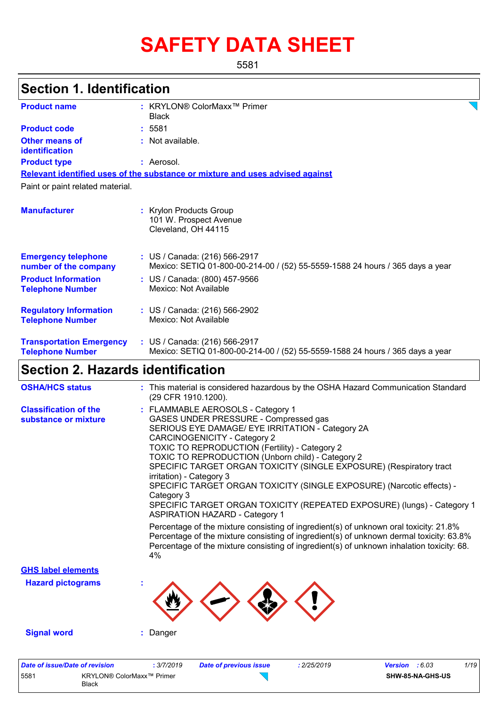# **SAFETY DATA SHEET**

5581

| <b>Section 1. Identification</b>                           |                                                                                                                                                                                                                                                                                                                                                                                                                                                                                                                                                                                                                                                                                                                                                                                                                                                                                                          |
|------------------------------------------------------------|----------------------------------------------------------------------------------------------------------------------------------------------------------------------------------------------------------------------------------------------------------------------------------------------------------------------------------------------------------------------------------------------------------------------------------------------------------------------------------------------------------------------------------------------------------------------------------------------------------------------------------------------------------------------------------------------------------------------------------------------------------------------------------------------------------------------------------------------------------------------------------------------------------|
| <b>Product name</b>                                        | : KRYLON® ColorMaxx <sup>™</sup> Primer<br><b>Black</b>                                                                                                                                                                                                                                                                                                                                                                                                                                                                                                                                                                                                                                                                                                                                                                                                                                                  |
| <b>Product code</b>                                        | : 5581                                                                                                                                                                                                                                                                                                                                                                                                                                                                                                                                                                                                                                                                                                                                                                                                                                                                                                   |
| <b>Other means of</b>                                      | : Not available.                                                                                                                                                                                                                                                                                                                                                                                                                                                                                                                                                                                                                                                                                                                                                                                                                                                                                         |
| identification                                             |                                                                                                                                                                                                                                                                                                                                                                                                                                                                                                                                                                                                                                                                                                                                                                                                                                                                                                          |
| <b>Product type</b>                                        | : Aerosol.                                                                                                                                                                                                                                                                                                                                                                                                                                                                                                                                                                                                                                                                                                                                                                                                                                                                                               |
|                                                            | Relevant identified uses of the substance or mixture and uses advised against                                                                                                                                                                                                                                                                                                                                                                                                                                                                                                                                                                                                                                                                                                                                                                                                                            |
| Paint or paint related material.                           |                                                                                                                                                                                                                                                                                                                                                                                                                                                                                                                                                                                                                                                                                                                                                                                                                                                                                                          |
| <b>Manufacturer</b>                                        | : Krylon Products Group<br>101 W. Prospect Avenue<br>Cleveland, OH 44115                                                                                                                                                                                                                                                                                                                                                                                                                                                                                                                                                                                                                                                                                                                                                                                                                                 |
| <b>Emergency telephone</b><br>number of the company        | : US / Canada: (216) 566-2917<br>Mexico: SETIQ 01-800-00-214-00 / (52) 55-5559-1588 24 hours / 365 days a year                                                                                                                                                                                                                                                                                                                                                                                                                                                                                                                                                                                                                                                                                                                                                                                           |
| <b>Product Information</b><br><b>Telephone Number</b>      | : US / Canada: (800) 457-9566<br>Mexico: Not Available                                                                                                                                                                                                                                                                                                                                                                                                                                                                                                                                                                                                                                                                                                                                                                                                                                                   |
| <b>Regulatory Information</b><br><b>Telephone Number</b>   | : US / Canada: (216) 566-2902<br>Mexico: Not Available                                                                                                                                                                                                                                                                                                                                                                                                                                                                                                                                                                                                                                                                                                                                                                                                                                                   |
| <b>Transportation Emergency</b><br><b>Telephone Number</b> | : US / Canada: (216) 566-2917<br>Mexico: SETIQ 01-800-00-214-00 / (52) 55-5559-1588 24 hours / 365 days a year                                                                                                                                                                                                                                                                                                                                                                                                                                                                                                                                                                                                                                                                                                                                                                                           |
| <b>Section 2. Hazards identification</b>                   |                                                                                                                                                                                                                                                                                                                                                                                                                                                                                                                                                                                                                                                                                                                                                                                                                                                                                                          |
| <b>OSHA/HCS status</b>                                     | : This material is considered hazardous by the OSHA Hazard Communication Standard                                                                                                                                                                                                                                                                                                                                                                                                                                                                                                                                                                                                                                                                                                                                                                                                                        |
| <b>Classification of the</b><br>substance or mixture       | (29 CFR 1910.1200).<br>: FLAMMABLE AEROSOLS - Category 1<br>GASES UNDER PRESSURE - Compressed gas<br>SERIOUS EYE DAMAGE/ EYE IRRITATION - Category 2A<br><b>CARCINOGENICITY - Category 2</b><br>TOXIC TO REPRODUCTION (Fertility) - Category 2<br>TOXIC TO REPRODUCTION (Unborn child) - Category 2<br>SPECIFIC TARGET ORGAN TOXICITY (SINGLE EXPOSURE) (Respiratory tract<br>irritation) - Category 3<br>SPECIFIC TARGET ORGAN TOXICITY (SINGLE EXPOSURE) (Narcotic effects) -<br>Category 3<br>SPECIFIC TARGET ORGAN TOXICITY (REPEATED EXPOSURE) (lungs) - Category 1<br><b>ASPIRATION HAZARD - Category 1</b><br>Percentage of the mixture consisting of ingredient(s) of unknown oral toxicity: 21.8%<br>Percentage of the mixture consisting of ingredient(s) of unknown dermal toxicity: 63.8%<br>Percentage of the mixture consisting of ingredient(s) of unknown inhalation toxicity: 68.<br>4% |
| <b>GHS label elements</b>                                  |                                                                                                                                                                                                                                                                                                                                                                                                                                                                                                                                                                                                                                                                                                                                                                                                                                                                                                          |
| <b>Hazard pictograms</b>                                   |                                                                                                                                                                                                                                                                                                                                                                                                                                                                                                                                                                                                                                                                                                                                                                                                                                                                                                          |
|                                                            |                                                                                                                                                                                                                                                                                                                                                                                                                                                                                                                                                                                                                                                                                                                                                                                                                                                                                                          |

Black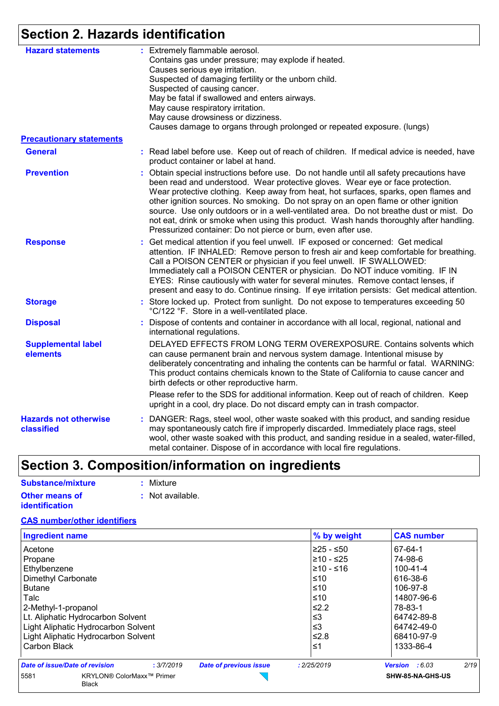# **Section 2. Hazards identification**

| <b>Hazard statements</b>                   | : Extremely flammable aerosol.<br>Contains gas under pressure; may explode if heated.                                                                                                                                                                                                                                                                                                                                                                                                                                                                                                                            |
|--------------------------------------------|------------------------------------------------------------------------------------------------------------------------------------------------------------------------------------------------------------------------------------------------------------------------------------------------------------------------------------------------------------------------------------------------------------------------------------------------------------------------------------------------------------------------------------------------------------------------------------------------------------------|
|                                            | Causes serious eye irritation.                                                                                                                                                                                                                                                                                                                                                                                                                                                                                                                                                                                   |
|                                            | Suspected of damaging fertility or the unborn child.                                                                                                                                                                                                                                                                                                                                                                                                                                                                                                                                                             |
|                                            | Suspected of causing cancer.                                                                                                                                                                                                                                                                                                                                                                                                                                                                                                                                                                                     |
|                                            | May be fatal if swallowed and enters airways.                                                                                                                                                                                                                                                                                                                                                                                                                                                                                                                                                                    |
|                                            | May cause respiratory irritation.                                                                                                                                                                                                                                                                                                                                                                                                                                                                                                                                                                                |
|                                            | May cause drowsiness or dizziness.                                                                                                                                                                                                                                                                                                                                                                                                                                                                                                                                                                               |
|                                            | Causes damage to organs through prolonged or repeated exposure. (lungs)                                                                                                                                                                                                                                                                                                                                                                                                                                                                                                                                          |
|                                            |                                                                                                                                                                                                                                                                                                                                                                                                                                                                                                                                                                                                                  |
| <b>Precautionary statements</b>            |                                                                                                                                                                                                                                                                                                                                                                                                                                                                                                                                                                                                                  |
| <b>General</b>                             | : Read label before use. Keep out of reach of children. If medical advice is needed, have<br>product container or label at hand.                                                                                                                                                                                                                                                                                                                                                                                                                                                                                 |
| <b>Prevention</b>                          | : Obtain special instructions before use. Do not handle until all safety precautions have<br>been read and understood. Wear protective gloves. Wear eye or face protection.<br>Wear protective clothing. Keep away from heat, hot surfaces, sparks, open flames and<br>other ignition sources. No smoking. Do not spray on an open flame or other ignition<br>source. Use only outdoors or in a well-ventilated area. Do not breathe dust or mist. Do<br>not eat, drink or smoke when using this product. Wash hands thoroughly after handling.<br>Pressurized container: Do not pierce or burn, even after use. |
| <b>Response</b>                            | Get medical attention if you feel unwell. IF exposed or concerned: Get medical<br>÷.<br>attention. IF INHALED: Remove person to fresh air and keep comfortable for breathing.<br>Call a POISON CENTER or physician if you feel unwell. IF SWALLOWED:<br>Immediately call a POISON CENTER or physician. Do NOT induce vomiting. IF IN<br>EYES: Rinse cautiously with water for several minutes. Remove contact lenses, if<br>present and easy to do. Continue rinsing. If eye irritation persists: Get medical attention.                                                                                         |
| <b>Storage</b>                             | : Store locked up. Protect from sunlight. Do not expose to temperatures exceeding 50<br>°C/122 °F. Store in a well-ventilated place.                                                                                                                                                                                                                                                                                                                                                                                                                                                                             |
| <b>Disposal</b>                            | Dispose of contents and container in accordance with all local, regional, national and<br>international regulations.                                                                                                                                                                                                                                                                                                                                                                                                                                                                                             |
| <b>Supplemental label</b><br>elements      | DELAYED EFFECTS FROM LONG TERM OVEREXPOSURE. Contains solvents which<br>can cause permanent brain and nervous system damage. Intentional misuse by<br>deliberately concentrating and inhaling the contents can be harmful or fatal. WARNING:<br>This product contains chemicals known to the State of California to cause cancer and<br>birth defects or other reproductive harm.                                                                                                                                                                                                                                |
|                                            | Please refer to the SDS for additional information. Keep out of reach of children. Keep<br>upright in a cool, dry place. Do not discard empty can in trash compactor.                                                                                                                                                                                                                                                                                                                                                                                                                                            |
| <b>Hazards not otherwise</b><br>classified | : DANGER: Rags, steel wool, other waste soaked with this product, and sanding residue<br>may spontaneously catch fire if improperly discarded. Immediately place rags, steel<br>wool, other waste soaked with this product, and sanding residue in a sealed, water-filled,<br>metal container. Dispose of in accordance with local fire regulations.                                                                                                                                                                                                                                                             |

# **Section 3. Composition/information on ingredients**

| Substance/mixture     | : Mixture        |
|-----------------------|------------------|
| <b>Other means of</b> | : Not available. |
| <i>identification</i> |                  |

#### **CAS number/other identifiers**

| <b>Ingredient name</b>              |                           |                               | % by weight | <b>CAS number</b>               |
|-------------------------------------|---------------------------|-------------------------------|-------------|---------------------------------|
| Acetone                             |                           |                               |             | 67-64-1                         |
| Propane                             |                           |                               | l≥10 - ≤25  | 74-98-6                         |
| Ethylbenzene                        |                           |                               | l≥10 - ≤16  | $100 - 41 - 4$                  |
| Dimethyl Carbonate                  |                           |                               | ≤10         | 616-38-6                        |
| Butane                              |                           |                               | ≤10         | 106-97-8                        |
| Talc                                |                           |                               | ≤10         | 14807-96-6                      |
| 2-Methyl-1-propanol                 |                           |                               | $≤2.2$      | 78-83-1                         |
| Lt. Aliphatic Hydrocarbon Solvent   |                           |                               | $\leq$ 3    | 64742-89-8                      |
| Light Aliphatic Hydrocarbon Solvent |                           |                               | $\leq$ 3    | 64742-49-0                      |
| Light Aliphatic Hydrocarbon Solvent |                           |                               | ≤2.8        | 68410-97-9                      |
| Carbon Black                        |                           |                               | ≤1          | 1333-86-4                       |
| Date of issue/Date of revision      | : 3/7/2019                | <b>Date of previous issue</b> | : 2/25/2019 | 2/19<br><b>Version</b> : $6.03$ |
| 5581<br><b>Black</b>                | KRYLON® ColorMaxx™ Primer |                               |             | SHW-85-NA-GHS-US                |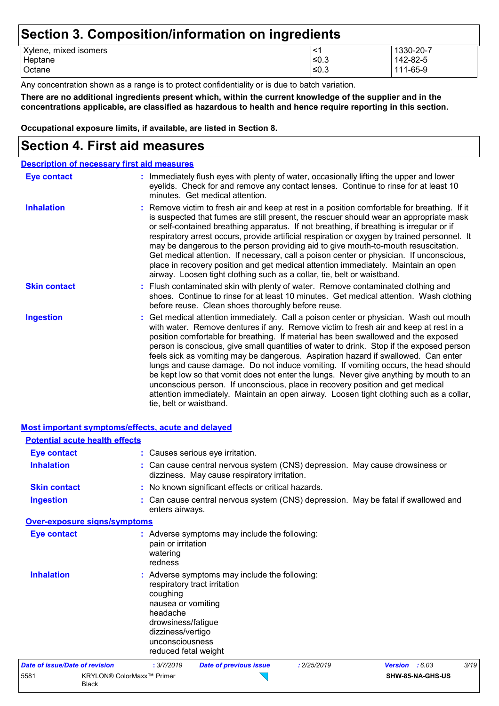### **Section 3. Composition/information on ingredients**

|                       | - |      |           |
|-----------------------|---|------|-----------|
| Xylene, mixed isomers |   |      | 1330-20-7 |
| Heptane               |   | ≤0.3 | 142-82-5  |
| Octane                |   | ≤0.3 | 111-65-9  |
|                       |   |      |           |

Any concentration shown as a range is to protect confidentiality or is due to batch variation.

**There are no additional ingredients present which, within the current knowledge of the supplier and in the concentrations applicable, are classified as hazardous to health and hence require reporting in this section.**

**Occupational exposure limits, if available, are listed in Section 8.**

### **Section 4. First aid measures**

| <b>Description of necessary first aid measures</b> |                                                                                                                                                                                                                                                                                                                                                                                                                                                                                                                                                                                                                                                                                                                                                                                                                                                 |
|----------------------------------------------------|-------------------------------------------------------------------------------------------------------------------------------------------------------------------------------------------------------------------------------------------------------------------------------------------------------------------------------------------------------------------------------------------------------------------------------------------------------------------------------------------------------------------------------------------------------------------------------------------------------------------------------------------------------------------------------------------------------------------------------------------------------------------------------------------------------------------------------------------------|
| Eye contact                                        | : Immediately flush eyes with plenty of water, occasionally lifting the upper and lower<br>eyelids. Check for and remove any contact lenses. Continue to rinse for at least 10<br>minutes. Get medical attention.                                                                                                                                                                                                                                                                                                                                                                                                                                                                                                                                                                                                                               |
| <b>Inhalation</b>                                  | : Remove victim to fresh air and keep at rest in a position comfortable for breathing. If it<br>is suspected that fumes are still present, the rescuer should wear an appropriate mask<br>or self-contained breathing apparatus. If not breathing, if breathing is irregular or if<br>respiratory arrest occurs, provide artificial respiration or oxygen by trained personnel. It<br>may be dangerous to the person providing aid to give mouth-to-mouth resuscitation.<br>Get medical attention. If necessary, call a poison center or physician. If unconscious,<br>place in recovery position and get medical attention immediately. Maintain an open<br>airway. Loosen tight clothing such as a collar, tie, belt or waistband.                                                                                                            |
| <b>Skin contact</b>                                | : Flush contaminated skin with plenty of water. Remove contaminated clothing and<br>shoes. Continue to rinse for at least 10 minutes. Get medical attention. Wash clothing<br>before reuse. Clean shoes thoroughly before reuse.                                                                                                                                                                                                                                                                                                                                                                                                                                                                                                                                                                                                                |
| <b>Ingestion</b>                                   | : Get medical attention immediately. Call a poison center or physician. Wash out mouth<br>with water. Remove dentures if any. Remove victim to fresh air and keep at rest in a<br>position comfortable for breathing. If material has been swallowed and the exposed<br>person is conscious, give small quantities of water to drink. Stop if the exposed person<br>feels sick as vomiting may be dangerous. Aspiration hazard if swallowed. Can enter<br>lungs and cause damage. Do not induce vomiting. If vomiting occurs, the head should<br>be kept low so that vomit does not enter the lungs. Never give anything by mouth to an<br>unconscious person. If unconscious, place in recovery position and get medical<br>attention immediately. Maintain an open airway. Loosen tight clothing such as a collar,<br>tie, belt or waistband. |

| Most important symptoms/effects, acute and delayed |                                                                                                                                  |                                                                                                                              |             |                |      |
|----------------------------------------------------|----------------------------------------------------------------------------------------------------------------------------------|------------------------------------------------------------------------------------------------------------------------------|-------------|----------------|------|
| <b>Potential acute health effects</b>              |                                                                                                                                  |                                                                                                                              |             |                |      |
| <b>Eye contact</b>                                 |                                                                                                                                  | : Causes serious eye irritation.                                                                                             |             |                |      |
| <b>Inhalation</b>                                  |                                                                                                                                  | : Can cause central nervous system (CNS) depression. May cause drowsiness or<br>dizziness. May cause respiratory irritation. |             |                |      |
| <b>Skin contact</b>                                |                                                                                                                                  | : No known significant effects or critical hazards.                                                                          |             |                |      |
| <b>Ingestion</b>                                   | enters airways.                                                                                                                  | : Can cause central nervous system (CNS) depression. May be fatal if swallowed and                                           |             |                |      |
| <b>Over-exposure signs/symptoms</b>                |                                                                                                                                  |                                                                                                                              |             |                |      |
| <b>Eye contact</b>                                 | pain or irritation<br>watering<br>redness                                                                                        | : Adverse symptoms may include the following:                                                                                |             |                |      |
| <b>Inhalation</b>                                  | coughing<br>nausea or vomiting<br>headache<br>drowsiness/fatigue<br>dizziness/vertigo<br>unconsciousness<br>reduced fetal weight | : Adverse symptoms may include the following:<br>respiratory tract irritation                                                |             |                |      |
| <b>Date of issue/Date of revision</b>              | : 3/7/2019                                                                                                                       | <b>Date of previous issue</b>                                                                                                | : 2/25/2019 | Version : 6.03 | 3/19 |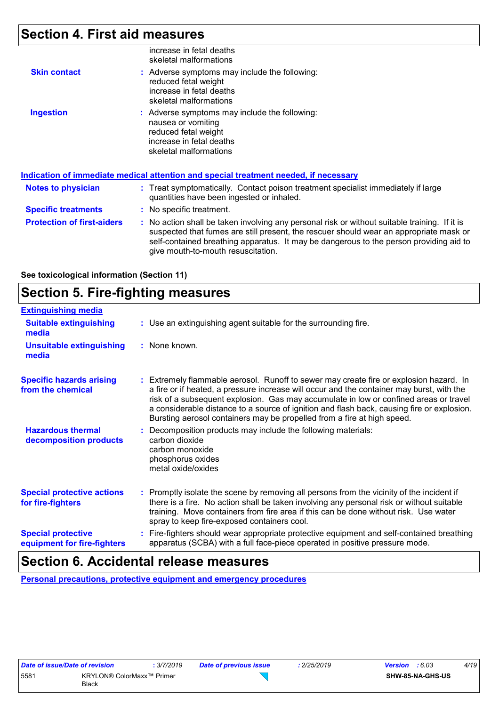# **Section 4. First aid measures**

|                            | increase in fetal deaths<br>skeletal malformations                                                                                                                                                                                               |  |
|----------------------------|--------------------------------------------------------------------------------------------------------------------------------------------------------------------------------------------------------------------------------------------------|--|
| <b>Skin contact</b>        | : Adverse symptoms may include the following:<br>reduced fetal weight<br>increase in fetal deaths<br>skeletal malformations                                                                                                                      |  |
| <b>Ingestion</b>           | : Adverse symptoms may include the following:<br>nausea or vomiting<br>reduced fetal weight<br>increase in fetal deaths<br>skeletal malformations<br><u>Indication of immediate medical attention and special treatment needed, if necessary</u> |  |
|                            |                                                                                                                                                                                                                                                  |  |
| <b>Notes to physician</b>  | : Treat symptomatically. Contact poison treatment specialist immediately if large<br>quantities have been ingested or inhaled.                                                                                                                   |  |
|                            |                                                                                                                                                                                                                                                  |  |
| <b>Specific treatments</b> | : No specific treatment.                                                                                                                                                                                                                         |  |

#### **See toxicological information (Section 11)**

# **Section 5. Fire-fighting measures**

| <b>Extinguishing media</b>                               |                                                                                                                                                                                                                                                                                                                                                                                                                                                     |
|----------------------------------------------------------|-----------------------------------------------------------------------------------------------------------------------------------------------------------------------------------------------------------------------------------------------------------------------------------------------------------------------------------------------------------------------------------------------------------------------------------------------------|
| <b>Suitable extinguishing</b><br>media                   | : Use an extinguishing agent suitable for the surrounding fire.                                                                                                                                                                                                                                                                                                                                                                                     |
| <b>Unsuitable extinguishing</b><br>media                 | : None known.                                                                                                                                                                                                                                                                                                                                                                                                                                       |
| <b>Specific hazards arising</b><br>from the chemical     | Extremely flammable aerosol. Runoff to sewer may create fire or explosion hazard. In<br>a fire or if heated, a pressure increase will occur and the container may burst, with the<br>risk of a subsequent explosion. Gas may accumulate in low or confined areas or travel<br>a considerable distance to a source of ignition and flash back, causing fire or explosion.<br>Bursting aerosol containers may be propelled from a fire at high speed. |
| <b>Hazardous thermal</b><br>decomposition products       | Decomposition products may include the following materials:<br>carbon dioxide<br>carbon monoxide<br>phosphorus oxides<br>metal oxide/oxides                                                                                                                                                                                                                                                                                                         |
| <b>Special protective actions</b><br>for fire-fighters   | Promptly isolate the scene by removing all persons from the vicinity of the incident if<br>there is a fire. No action shall be taken involving any personal risk or without suitable<br>training. Move containers from fire area if this can be done without risk. Use water<br>spray to keep fire-exposed containers cool.                                                                                                                         |
| <b>Special protective</b><br>equipment for fire-fighters | Fire-fighters should wear appropriate protective equipment and self-contained breathing<br>apparatus (SCBA) with a full face-piece operated in positive pressure mode.                                                                                                                                                                                                                                                                              |

## **Section 6. Accidental release measures**

**Personal precautions, protective equipment and emergency procedures**

 $\sum$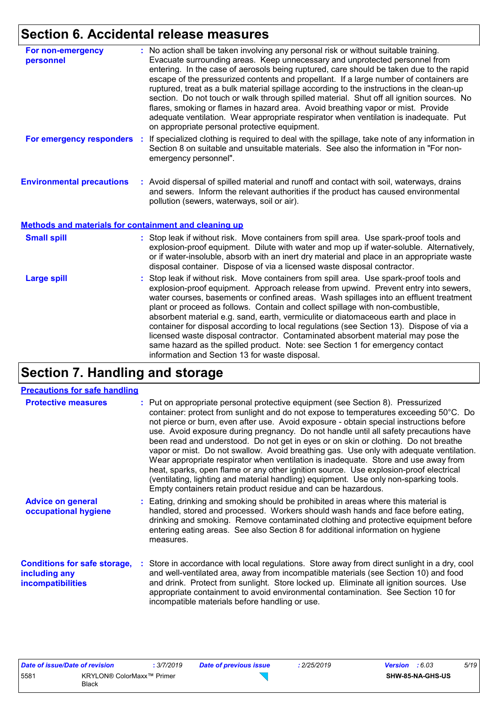# **Section 6. Accidental release measures**

| For non-emergency<br>personnel                               | : No action shall be taken involving any personal risk or without suitable training.<br>Evacuate surrounding areas. Keep unnecessary and unprotected personnel from<br>entering. In the case of aerosols being ruptured, care should be taken due to the rapid<br>escape of the pressurized contents and propellant. If a large number of containers are<br>ruptured, treat as a bulk material spillage according to the instructions in the clean-up<br>section. Do not touch or walk through spilled material. Shut off all ignition sources. No<br>flares, smoking or flames in hazard area. Avoid breathing vapor or mist. Provide<br>adequate ventilation. Wear appropriate respirator when ventilation is inadequate. Put<br>on appropriate personal protective equipment. |  |
|--------------------------------------------------------------|----------------------------------------------------------------------------------------------------------------------------------------------------------------------------------------------------------------------------------------------------------------------------------------------------------------------------------------------------------------------------------------------------------------------------------------------------------------------------------------------------------------------------------------------------------------------------------------------------------------------------------------------------------------------------------------------------------------------------------------------------------------------------------|--|
| For emergency responders                                     | If specialized clothing is required to deal with the spillage, take note of any information in<br>÷.<br>Section 8 on suitable and unsuitable materials. See also the information in "For non-<br>emergency personnel".                                                                                                                                                                                                                                                                                                                                                                                                                                                                                                                                                           |  |
| <b>Environmental precautions</b>                             | : Avoid dispersal of spilled material and runoff and contact with soil, waterways, drains<br>and sewers. Inform the relevant authorities if the product has caused environmental<br>pollution (sewers, waterways, soil or air).                                                                                                                                                                                                                                                                                                                                                                                                                                                                                                                                                  |  |
| <b>Methods and materials for containment and cleaning up</b> |                                                                                                                                                                                                                                                                                                                                                                                                                                                                                                                                                                                                                                                                                                                                                                                  |  |
| <b>Small spill</b>                                           | : Stop leak if without risk. Move containers from spill area. Use spark-proof tools and<br>explosion-proof equipment. Dilute with water and mop up if water-soluble. Alternatively,<br>or if water-insoluble, absorb with an inert dry material and place in an appropriate waste<br>disposal container. Dispose of via a licensed waste disposal contractor.                                                                                                                                                                                                                                                                                                                                                                                                                    |  |
| <b>Large spill</b>                                           | : Stop leak if without risk. Move containers from spill area. Use spark-proof tools and<br>explosion-proof equipment. Approach release from upwind. Prevent entry into sewers,<br>water courses, basements or confined areas. Wash spillages into an effluent treatment<br>plant or proceed as follows. Contain and collect spillage with non-combustible,<br>absorbent material e.g. sand, earth, vermiculite or diatomaceous earth and place in<br>container for disposal according to local regulations (see Section 13). Dispose of via a<br>licensed waste disposal contractor. Contaminated absorbent material may pose the<br>same hazard as the spilled product. Note: see Section 1 for emergency contact<br>information and Section 13 for waste disposal.             |  |

# **Section 7. Handling and storage**

#### **Precautions for safe handling**

| <b>Protective measures</b>                                                       | : Put on appropriate personal protective equipment (see Section 8). Pressurized<br>container: protect from sunlight and do not expose to temperatures exceeding 50°C. Do<br>not pierce or burn, even after use. Avoid exposure - obtain special instructions before<br>use. Avoid exposure during pregnancy. Do not handle until all safety precautions have<br>been read and understood. Do not get in eyes or on skin or clothing. Do not breathe<br>vapor or mist. Do not swallow. Avoid breathing gas. Use only with adequate ventilation.<br>Wear appropriate respirator when ventilation is inadequate. Store and use away from<br>heat, sparks, open flame or any other ignition source. Use explosion-proof electrical<br>(ventilating, lighting and material handling) equipment. Use only non-sparking tools.<br>Empty containers retain product residue and can be hazardous. |
|----------------------------------------------------------------------------------|------------------------------------------------------------------------------------------------------------------------------------------------------------------------------------------------------------------------------------------------------------------------------------------------------------------------------------------------------------------------------------------------------------------------------------------------------------------------------------------------------------------------------------------------------------------------------------------------------------------------------------------------------------------------------------------------------------------------------------------------------------------------------------------------------------------------------------------------------------------------------------------|
| <b>Advice on general</b><br>occupational hygiene                                 | : Eating, drinking and smoking should be prohibited in areas where this material is<br>handled, stored and processed. Workers should wash hands and face before eating,<br>drinking and smoking. Remove contaminated clothing and protective equipment before<br>entering eating areas. See also Section 8 for additional information on hygiene<br>measures.                                                                                                                                                                                                                                                                                                                                                                                                                                                                                                                            |
| <b>Conditions for safe storage,</b><br>including any<br><b>incompatibilities</b> | : Store in accordance with local regulations. Store away from direct sunlight in a dry, cool<br>and well-ventilated area, away from incompatible materials (see Section 10) and food<br>and drink. Protect from sunlight. Store locked up. Eliminate all ignition sources. Use<br>appropriate containment to avoid environmental contamination. See Section 10 for<br>incompatible materials before handling or use.                                                                                                                                                                                                                                                                                                                                                                                                                                                                     |

 $\sum$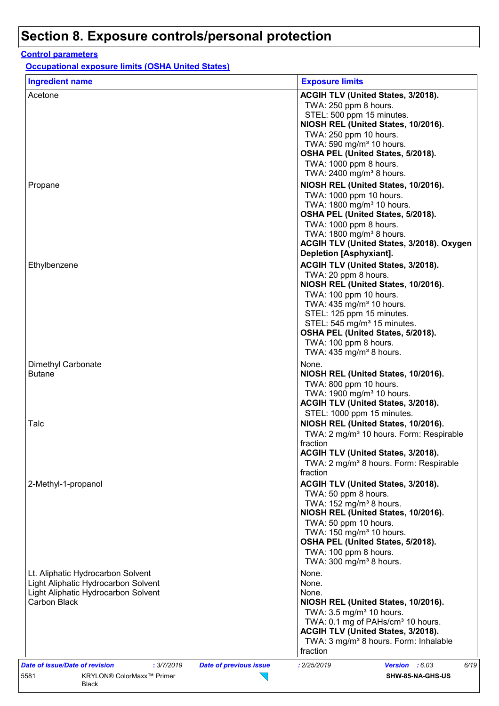#### **Control parameters**

Black

**Occupational exposure limits (OSHA United States)**

| <b>Ingredient name</b>                       | <b>Exposure limits</b>                                                                   |
|----------------------------------------------|------------------------------------------------------------------------------------------|
| Acetone                                      | ACGIH TLV (United States, 3/2018).<br>TWA: 250 ppm 8 hours.                              |
|                                              | STEL: 500 ppm 15 minutes.<br>NIOSH REL (United States, 10/2016).                         |
|                                              | TWA: 250 ppm 10 hours.<br>TWA: 590 mg/m <sup>3</sup> 10 hours.                           |
|                                              | OSHA PEL (United States, 5/2018).                                                        |
|                                              | TWA: 1000 ppm 8 hours.<br>TWA: 2400 mg/m <sup>3</sup> 8 hours.                           |
| Propane                                      | NIOSH REL (United States, 10/2016).                                                      |
|                                              | TWA: 1000 ppm 10 hours.                                                                  |
|                                              | TWA: 1800 mg/m <sup>3</sup> 10 hours.<br>OSHA PEL (United States, 5/2018).               |
|                                              | TWA: 1000 ppm 8 hours.                                                                   |
|                                              | TWA: 1800 mg/m <sup>3</sup> 8 hours.<br>ACGIH TLV (United States, 3/2018). Oxygen        |
|                                              | Depletion [Asphyxiant].                                                                  |
| Ethylbenzene                                 | ACGIH TLV (United States, 3/2018).                                                       |
|                                              | TWA: 20 ppm 8 hours.<br>NIOSH REL (United States, 10/2016).                              |
|                                              | TWA: 100 ppm 10 hours.                                                                   |
|                                              | TWA: 435 mg/m <sup>3</sup> 10 hours.                                                     |
|                                              | STEL: 125 ppm 15 minutes.<br>STEL: 545 mg/m <sup>3</sup> 15 minutes.                     |
|                                              | OSHA PEL (United States, 5/2018).                                                        |
|                                              | TWA: 100 ppm 8 hours.<br>TWA: 435 mg/m <sup>3</sup> 8 hours.                             |
| Dimethyl Carbonate                           | None.                                                                                    |
| <b>Butane</b>                                | NIOSH REL (United States, 10/2016).                                                      |
|                                              | TWA: 800 ppm 10 hours.<br>TWA: 1900 mg/m <sup>3</sup> 10 hours.                          |
|                                              | ACGIH TLV (United States, 3/2018).                                                       |
| Talc                                         | STEL: 1000 ppm 15 minutes.<br>NIOSH REL (United States, 10/2016).                        |
|                                              | TWA: 2 mg/m <sup>3</sup> 10 hours. Form: Respirable                                      |
|                                              | fraction                                                                                 |
|                                              | ACGIH TLV (United States, 3/2018).<br>TWA: 2 mg/m <sup>3</sup> 8 hours. Form: Respirable |
|                                              | fraction                                                                                 |
| 2-Methyl-1-propanol                          | ACGIH TLV (United States, 3/2018).                                                       |
|                                              | TWA: 50 ppm 8 hours.<br>TWA: 152 mg/m <sup>3</sup> 8 hours.                              |
|                                              | NIOSH REL (United States, 10/2016).                                                      |
|                                              | TWA: 50 ppm 10 hours.<br>TWA: 150 mg/m <sup>3</sup> 10 hours.                            |
|                                              | OSHA PEL (United States, 5/2018).                                                        |
|                                              | TWA: 100 ppm 8 hours.                                                                    |
| Lt. Aliphatic Hydrocarbon Solvent            | TWA: 300 mg/m <sup>3</sup> 8 hours.<br>None.                                             |
| Light Aliphatic Hydrocarbon Solvent          | None.                                                                                    |
| Light Aliphatic Hydrocarbon Solvent          | None.                                                                                    |
| Carbon Black                                 | NIOSH REL (United States, 10/2016).<br>TWA: 3.5 mg/m <sup>3</sup> 10 hours.              |
|                                              | TWA: 0.1 mg of PAHs/cm <sup>3</sup> 10 hours.                                            |
|                                              | ACGIH TLV (United States, 3/2018).<br>TWA: 3 mg/m <sup>3</sup> 8 hours. Form: Inhalable  |
|                                              | fraction                                                                                 |
| Date of issue/Date of revision<br>: 3/7/2019 | 6/19<br>: 2/25/2019<br>Version : 6.03<br><b>Date of previous issue</b>                   |
| KRYLON® ColorMaxx™ Primer<br>5581            | SHW-85-NA-GHS-US                                                                         |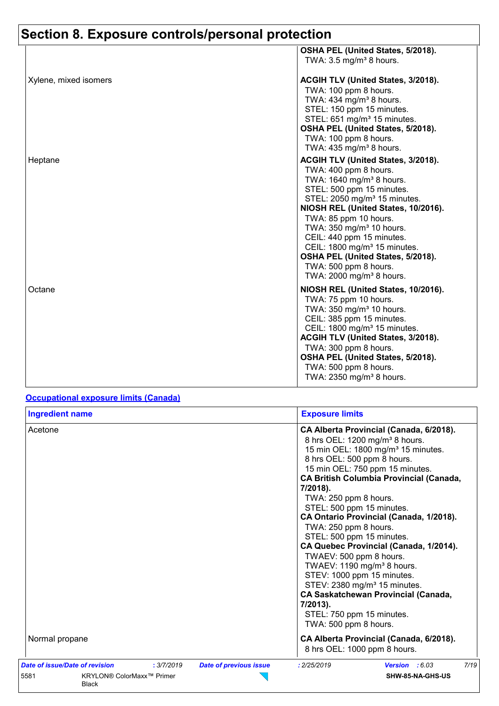|                       | OSHA PEL (United States, 5/2018).                                                                                                                                                                                                                                                                                                                                                                                                                                   |
|-----------------------|---------------------------------------------------------------------------------------------------------------------------------------------------------------------------------------------------------------------------------------------------------------------------------------------------------------------------------------------------------------------------------------------------------------------------------------------------------------------|
|                       | TWA: $3.5 \text{ mg/m}^3$ 8 hours.                                                                                                                                                                                                                                                                                                                                                                                                                                  |
| Xylene, mixed isomers | ACGIH TLV (United States, 3/2018).<br>TWA: 100 ppm 8 hours.<br>TWA: 434 mg/m <sup>3</sup> 8 hours.<br>STEL: 150 ppm 15 minutes.<br>STEL: 651 mg/m <sup>3</sup> 15 minutes.<br>OSHA PEL (United States, 5/2018).<br>TWA: 100 ppm 8 hours.<br>TWA: 435 mg/m <sup>3</sup> 8 hours.                                                                                                                                                                                     |
| Heptane               | ACGIH TLV (United States, 3/2018).<br>TWA: 400 ppm 8 hours.<br>TWA: 1640 mg/m <sup>3</sup> 8 hours.<br>STEL: 500 ppm 15 minutes.<br>STEL: 2050 mg/m <sup>3</sup> 15 minutes.<br>NIOSH REL (United States, 10/2016).<br>TWA: 85 ppm 10 hours.<br>TWA: 350 mg/m <sup>3</sup> 10 hours.<br>CEIL: 440 ppm 15 minutes.<br>CEIL: 1800 mg/m <sup>3</sup> 15 minutes.<br>OSHA PEL (United States, 5/2018).<br>TWA: 500 ppm 8 hours.<br>TWA: 2000 mg/m <sup>3</sup> 8 hours. |
| Octane                | NIOSH REL (United States, 10/2016).<br>TWA: 75 ppm 10 hours.<br>TWA: 350 mg/m <sup>3</sup> 10 hours.<br>CEIL: 385 ppm 15 minutes.<br>CEIL: 1800 mg/m <sup>3</sup> 15 minutes.<br><b>ACGIH TLV (United States, 3/2018).</b><br>TWA: 300 ppm 8 hours.<br>OSHA PEL (United States, 5/2018).<br>TWA: 500 ppm 8 hours.<br>TWA: 2350 mg/m <sup>3</sup> 8 hours.                                                                                                           |

#### **Occupational exposure limits (Canada)**

| <b>Ingredient name</b>                                                                                                             | <b>Exposure limits</b>                                                                                                                                                                                                                                                                                                                                                                                                                                                                                                                                                                                                                                                                                                                  |
|------------------------------------------------------------------------------------------------------------------------------------|-----------------------------------------------------------------------------------------------------------------------------------------------------------------------------------------------------------------------------------------------------------------------------------------------------------------------------------------------------------------------------------------------------------------------------------------------------------------------------------------------------------------------------------------------------------------------------------------------------------------------------------------------------------------------------------------------------------------------------------------|
| Acetone                                                                                                                            | CA Alberta Provincial (Canada, 6/2018).<br>8 hrs OEL: 1200 mg/m <sup>3</sup> 8 hours.<br>15 min OEL: 1800 mg/m <sup>3</sup> 15 minutes.<br>8 hrs OEL: 500 ppm 8 hours.<br>15 min OEL: 750 ppm 15 minutes.<br><b>CA British Columbia Provincial (Canada,</b><br>7/2018).<br>TWA: 250 ppm 8 hours.<br>STEL: 500 ppm 15 minutes.<br>CA Ontario Provincial (Canada, 1/2018).<br>TWA: 250 ppm 8 hours.<br>STEL: 500 ppm 15 minutes.<br>CA Quebec Provincial (Canada, 1/2014).<br>TWAEV: 500 ppm 8 hours.<br>TWAEV: 1190 mg/m <sup>3</sup> 8 hours.<br>STEV: 1000 ppm 15 minutes.<br>STEV: 2380 mg/m <sup>3</sup> 15 minutes.<br><b>CA Saskatchewan Provincial (Canada,</b><br>7/2013).<br>STEL: 750 ppm 15 minutes.<br>TWA: 500 ppm 8 hours. |
| Normal propane                                                                                                                     | CA Alberta Provincial (Canada, 6/2018).<br>8 hrs OEL: 1000 ppm 8 hours.                                                                                                                                                                                                                                                                                                                                                                                                                                                                                                                                                                                                                                                                 |
| Date of issue/Date of revision<br>: 3/7/2019<br><b>Date of previous issue</b><br>5581<br>KRYLON® ColorMaxx™ Primer<br><b>Black</b> | 7/19<br>: 2/25/2019<br>Version : 6.03<br>SHW-85-NA-GHS-US                                                                                                                                                                                                                                                                                                                                                                                                                                                                                                                                                                                                                                                                               |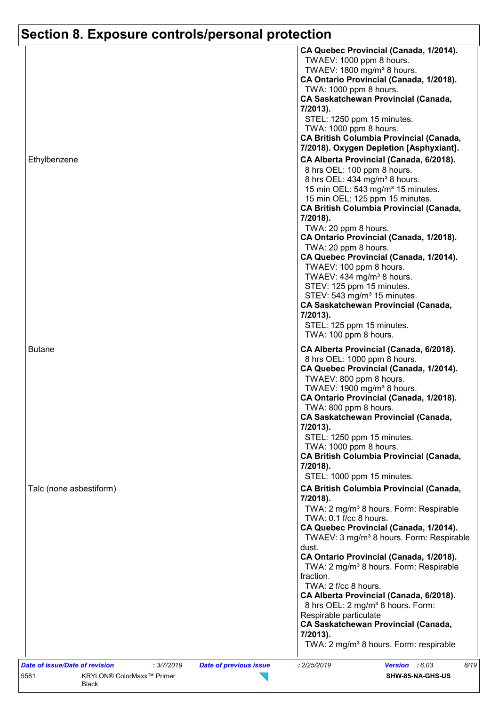|                                              | CA Quebec Provincial (Canada, 1/2014).                                       |
|----------------------------------------------|------------------------------------------------------------------------------|
|                                              | TWAEV: 1000 ppm 8 hours.                                                     |
|                                              | TWAEV: 1800 mg/m <sup>3</sup> 8 hours.                                       |
|                                              | CA Ontario Provincial (Canada, 1/2018).                                      |
|                                              | TWA: 1000 ppm 8 hours.<br><b>CA Saskatchewan Provincial (Canada,</b>         |
|                                              | 7/2013).                                                                     |
|                                              | STEL: 1250 ppm 15 minutes.                                                   |
|                                              | TWA: 1000 ppm 8 hours.                                                       |
|                                              | <b>CA British Columbia Provincial (Canada,</b>                               |
|                                              | 7/2018). Oxygen Depletion [Asphyxiant].                                      |
| Ethylbenzene                                 | CA Alberta Provincial (Canada, 6/2018).                                      |
|                                              | 8 hrs OEL: 100 ppm 8 hours.                                                  |
|                                              | 8 hrs OEL: 434 mg/m <sup>3</sup> 8 hours.                                    |
|                                              | 15 min OEL: 543 mg/m <sup>3</sup> 15 minutes.                                |
|                                              | 15 min OEL: 125 ppm 15 minutes.                                              |
|                                              | <b>CA British Columbia Provincial (Canada,</b>                               |
|                                              | 7/2018).                                                                     |
|                                              | TWA: 20 ppm 8 hours.                                                         |
|                                              | CA Ontario Provincial (Canada, 1/2018).                                      |
|                                              | TWA: 20 ppm 8 hours.                                                         |
|                                              | CA Quebec Provincial (Canada, 1/2014).                                       |
|                                              | TWAEV: 100 ppm 8 hours.<br>TWAEV: 434 mg/m <sup>3</sup> 8 hours.             |
|                                              | STEV: 125 ppm 15 minutes.                                                    |
|                                              | STEV: 543 mg/m <sup>3</sup> 15 minutes.                                      |
|                                              | <b>CA Saskatchewan Provincial (Canada,</b>                                   |
|                                              | 7/2013).                                                                     |
|                                              | STEL: 125 ppm 15 minutes.                                                    |
|                                              | TWA: 100 ppm 8 hours.                                                        |
| <b>Butane</b>                                | CA Alberta Provincial (Canada, 6/2018).                                      |
|                                              | 8 hrs OEL: 1000 ppm 8 hours.                                                 |
|                                              | CA Quebec Provincial (Canada, 1/2014).                                       |
|                                              | TWAEV: 800 ppm 8 hours.                                                      |
|                                              | TWAEV: 1900 mg/m <sup>3</sup> 8 hours.                                       |
|                                              | CA Ontario Provincial (Canada, 1/2018).                                      |
|                                              | TWA: 800 ppm 8 hours.                                                        |
|                                              | CA Saskatchewan Provincial (Canada,                                          |
|                                              | 7/2013).                                                                     |
|                                              | STEL: 1250 ppm 15 minutes.                                                   |
|                                              | TWA: 1000 ppm 8 hours.<br><b>CA British Columbia Provincial (Canada,</b>     |
|                                              | 7/2018).                                                                     |
|                                              | STEL: 1000 ppm 15 minutes.                                                   |
|                                              |                                                                              |
| Talc (none asbestiform)                      | <b>CA British Columbia Provincial (Canada,</b>                               |
|                                              | 7/2018).                                                                     |
|                                              | TWA: 2 mg/m <sup>3</sup> 8 hours. Form: Respirable<br>TWA: 0.1 f/cc 8 hours. |
|                                              | CA Quebec Provincial (Canada, 1/2014).                                       |
|                                              | TWAEV: 3 mg/m <sup>3</sup> 8 hours. Form: Respirable                         |
|                                              | dust.                                                                        |
|                                              | CA Ontario Provincial (Canada, 1/2018).                                      |
|                                              | TWA: 2 mg/m <sup>3</sup> 8 hours. Form: Respirable                           |
|                                              | fraction.                                                                    |
|                                              | TWA: 2 f/cc 8 hours.                                                         |
|                                              | CA Alberta Provincial (Canada, 6/2018).                                      |
|                                              | 8 hrs OEL: 2 mg/m <sup>3</sup> 8 hours. Form:                                |
|                                              | Respirable particulate                                                       |
|                                              | <b>CA Saskatchewan Provincial (Canada,</b>                                   |
|                                              | 7/2013).                                                                     |
|                                              |                                                                              |
|                                              | TWA: 2 mg/m <sup>3</sup> 8 hours. Form: respirable                           |
| Date of issue/Date of revision<br>: 3/7/2019 | : 2/25/2019<br>8/19<br><b>Date of previous issue</b><br>Version : 6.03       |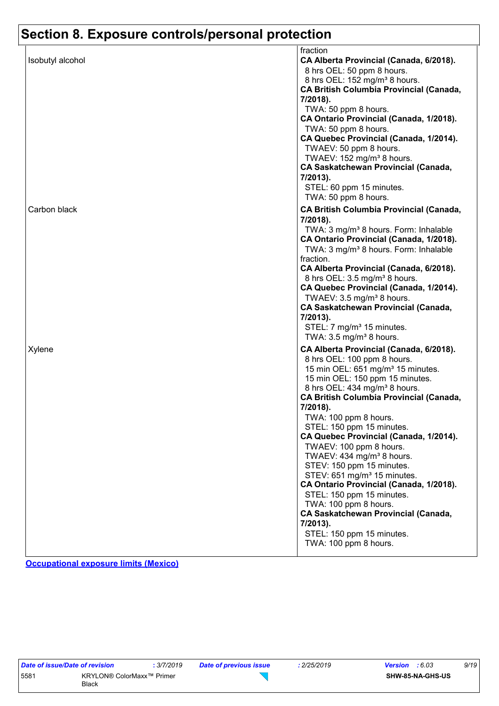|                  | fraction                                          |
|------------------|---------------------------------------------------|
| Isobutyl alcohol | CA Alberta Provincial (Canada, 6/2018).           |
|                  | 8 hrs OEL: 50 ppm 8 hours.                        |
|                  | 8 hrs OEL: 152 mg/m <sup>3</sup> 8 hours.         |
|                  | <b>CA British Columbia Provincial (Canada,</b>    |
|                  | 7/2018).                                          |
|                  | TWA: 50 ppm 8 hours.                              |
|                  | CA Ontario Provincial (Canada, 1/2018).           |
|                  | TWA: 50 ppm 8 hours.                              |
|                  | CA Quebec Provincial (Canada, 1/2014).            |
|                  | TWAEV: 50 ppm 8 hours.                            |
|                  | TWAEV: 152 mg/m <sup>3</sup> 8 hours.             |
|                  | <b>CA Saskatchewan Provincial (Canada,</b>        |
|                  | 7/2013).                                          |
|                  | STEL: 60 ppm 15 minutes.                          |
|                  | TWA: 50 ppm 8 hours.                              |
| Carbon black     | CA British Columbia Provincial (Canada,           |
|                  | 7/2018).                                          |
|                  | TWA: 3 mg/m <sup>3</sup> 8 hours. Form: Inhalable |
|                  | CA Ontario Provincial (Canada, 1/2018).           |
|                  | TWA: 3 mg/m <sup>3</sup> 8 hours. Form: Inhalable |
|                  | fraction.                                         |
|                  | CA Alberta Provincial (Canada, 6/2018).           |
|                  | 8 hrs OEL: 3.5 mg/m <sup>3</sup> 8 hours.         |
|                  | CA Quebec Provincial (Canada, 1/2014).            |
|                  | TWAEV: 3.5 mg/m <sup>3</sup> 8 hours.             |
|                  | <b>CA Saskatchewan Provincial (Canada,</b>        |
|                  | 7/2013).                                          |
|                  | STEL: 7 mg/m <sup>3</sup> 15 minutes.             |
|                  | TWA: $3.5 \text{ mg/m}^3$ 8 hours.                |
| Xylene           | CA Alberta Provincial (Canada, 6/2018).           |
|                  | 8 hrs OEL: 100 ppm 8 hours.                       |
|                  | 15 min OEL: 651 mg/m <sup>3</sup> 15 minutes.     |
|                  | 15 min OEL: 150 ppm 15 minutes.                   |
|                  | 8 hrs OEL: 434 mg/m <sup>3</sup> 8 hours.         |
|                  | <b>CA British Columbia Provincial (Canada,</b>    |
|                  | 7/2018).                                          |
|                  | TWA: 100 ppm 8 hours.                             |
|                  | STEL: 150 ppm 15 minutes.                         |
|                  | CA Quebec Provincial (Canada, 1/2014).            |
|                  | TWAEV: 100 ppm 8 hours.                           |
|                  | TWAEV: 434 mg/m <sup>3</sup> 8 hours.             |
|                  | STEV: 150 ppm 15 minutes.                         |
|                  | STEV: 651 mg/m <sup>3</sup> 15 minutes.           |
|                  | CA Ontario Provincial (Canada, 1/2018).           |
|                  | STEL: 150 ppm 15 minutes.                         |
|                  | TWA: 100 ppm 8 hours.                             |
|                  | <b>CA Saskatchewan Provincial (Canada,</b>        |
|                  | 7/2013).                                          |
|                  | STEL: 150 ppm 15 minutes.                         |
|                  | TWA: 100 ppm 8 hours.                             |
|                  |                                                   |

**Occupational exposure limits (Mexico)**

| Date of issue/Date of revision | : 3/7/2019                                |  |
|--------------------------------|-------------------------------------------|--|
| 5581                           | KRYLON® ColorMaxx™ Primer<br><b>Black</b> |  |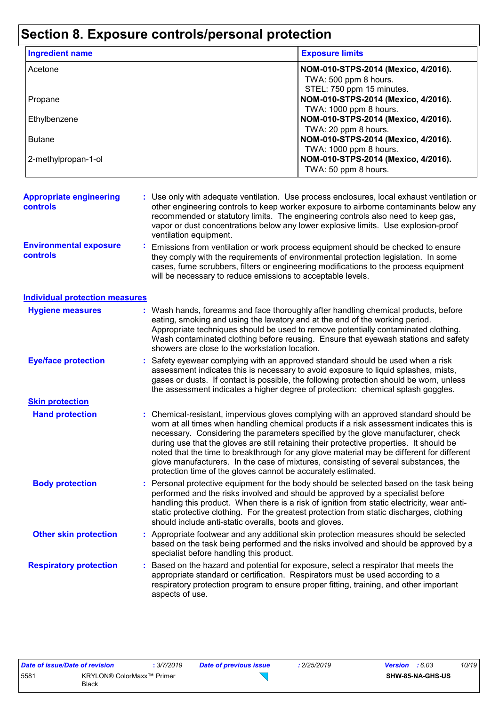| <b>Ingredient name</b>                            |                                                                                                                                                                                                                                                                                     | <b>Exposure limits</b>                                                                                                                                                                                                                                                                                                                                                                                                                                                                                                                                                                                               |  |  |  |
|---------------------------------------------------|-------------------------------------------------------------------------------------------------------------------------------------------------------------------------------------------------------------------------------------------------------------------------------------|----------------------------------------------------------------------------------------------------------------------------------------------------------------------------------------------------------------------------------------------------------------------------------------------------------------------------------------------------------------------------------------------------------------------------------------------------------------------------------------------------------------------------------------------------------------------------------------------------------------------|--|--|--|
| Acetone                                           |                                                                                                                                                                                                                                                                                     | NOM-010-STPS-2014 (Mexico, 4/2016).<br>TWA: 500 ppm 8 hours.<br>STEL: 750 ppm 15 minutes.                                                                                                                                                                                                                                                                                                                                                                                                                                                                                                                            |  |  |  |
| Propane                                           |                                                                                                                                                                                                                                                                                     | NOM-010-STPS-2014 (Mexico, 4/2016).<br>TWA: 1000 ppm 8 hours.                                                                                                                                                                                                                                                                                                                                                                                                                                                                                                                                                        |  |  |  |
| Ethylbenzene                                      |                                                                                                                                                                                                                                                                                     | NOM-010-STPS-2014 (Mexico, 4/2016).<br>TWA: 20 ppm 8 hours.                                                                                                                                                                                                                                                                                                                                                                                                                                                                                                                                                          |  |  |  |
| <b>Butane</b>                                     |                                                                                                                                                                                                                                                                                     | NOM-010-STPS-2014 (Mexico, 4/2016).<br>TWA: 1000 ppm 8 hours.                                                                                                                                                                                                                                                                                                                                                                                                                                                                                                                                                        |  |  |  |
| 2-methylpropan-1-ol                               |                                                                                                                                                                                                                                                                                     | NOM-010-STPS-2014 (Mexico, 4/2016).<br>TWA: 50 ppm 8 hours.                                                                                                                                                                                                                                                                                                                                                                                                                                                                                                                                                          |  |  |  |
| <b>Appropriate engineering</b><br><b>controls</b> | ventilation equipment.                                                                                                                                                                                                                                                              | : Use only with adequate ventilation. Use process enclosures, local exhaust ventilation or<br>other engineering controls to keep worker exposure to airborne contaminants below any<br>recommended or statutory limits. The engineering controls also need to keep gas,<br>vapor or dust concentrations below any lower explosive limits. Use explosion-proof                                                                                                                                                                                                                                                        |  |  |  |
| <b>Environmental exposure</b><br><b>controls</b>  |                                                                                                                                                                                                                                                                                     | Emissions from ventilation or work process equipment should be checked to ensure<br>they comply with the requirements of environmental protection legislation. In some<br>cases, fume scrubbers, filters or engineering modifications to the process equipment<br>will be necessary to reduce emissions to acceptable levels.                                                                                                                                                                                                                                                                                        |  |  |  |
| <b>Individual protection measures</b>             |                                                                                                                                                                                                                                                                                     |                                                                                                                                                                                                                                                                                                                                                                                                                                                                                                                                                                                                                      |  |  |  |
| <b>Hygiene measures</b>                           | showers are close to the workstation location.                                                                                                                                                                                                                                      | : Wash hands, forearms and face thoroughly after handling chemical products, before<br>eating, smoking and using the lavatory and at the end of the working period.<br>Appropriate techniques should be used to remove potentially contaminated clothing.<br>Wash contaminated clothing before reusing. Ensure that eyewash stations and safety                                                                                                                                                                                                                                                                      |  |  |  |
| <b>Eye/face protection</b>                        |                                                                                                                                                                                                                                                                                     | Safety eyewear complying with an approved standard should be used when a risk<br>assessment indicates this is necessary to avoid exposure to liquid splashes, mists,<br>gases or dusts. If contact is possible, the following protection should be worn, unless<br>the assessment indicates a higher degree of protection: chemical splash goggles.                                                                                                                                                                                                                                                                  |  |  |  |
| <b>Skin protection</b>                            |                                                                                                                                                                                                                                                                                     |                                                                                                                                                                                                                                                                                                                                                                                                                                                                                                                                                                                                                      |  |  |  |
| <b>Hand protection</b>                            |                                                                                                                                                                                                                                                                                     | Chemical-resistant, impervious gloves complying with an approved standard should be<br>worn at all times when handling chemical products if a risk assessment indicates this is<br>necessary. Considering the parameters specified by the glove manufacturer, check<br>during use that the gloves are still retaining their protective properties. It should be<br>noted that the time to breakthrough for any glove material may be different for different<br>glove manufacturers. In the case of mixtures, consisting of several substances, the<br>protection time of the gloves cannot be accurately estimated. |  |  |  |
| <b>Body protection</b>                            |                                                                                                                                                                                                                                                                                     | : Personal protective equipment for the body should be selected based on the task being<br>performed and the risks involved and should be approved by a specialist before<br>handling this product. When there is a risk of ignition from static electricity, wear anti-<br>static protective clothing. For the greatest protection from static discharges, clothing<br>should include anti-static overalls, boots and gloves.                                                                                                                                                                                       |  |  |  |
| <b>Other skin protection</b>                      |                                                                                                                                                                                                                                                                                     | : Appropriate footwear and any additional skin protection measures should be selected<br>based on the task being performed and the risks involved and should be approved by a<br>specialist before handling this product.                                                                                                                                                                                                                                                                                                                                                                                            |  |  |  |
| <b>Respiratory protection</b>                     | : Based on the hazard and potential for exposure, select a respirator that meets the<br>appropriate standard or certification. Respirators must be used according to a<br>respiratory protection program to ensure proper fitting, training, and other important<br>aspects of use. |                                                                                                                                                                                                                                                                                                                                                                                                                                                                                                                                                                                                                      |  |  |  |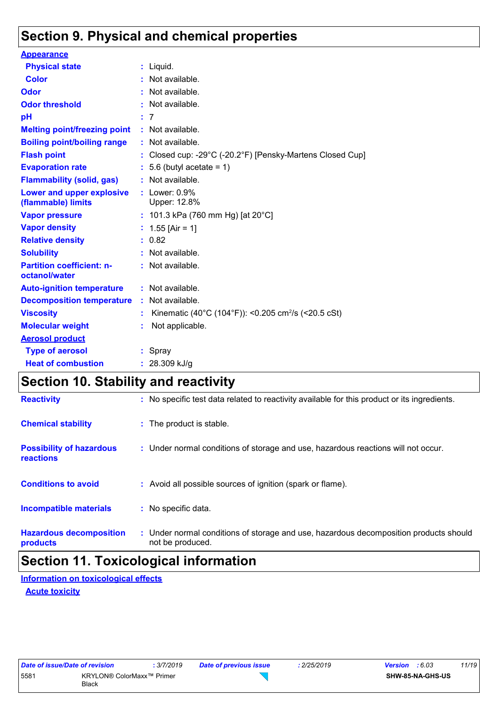# **Section 9. Physical and chemical properties**

| <b>Appearance</b>                                      |    |                                                                 |
|--------------------------------------------------------|----|-----------------------------------------------------------------|
| <b>Physical state</b>                                  |    | $:$ Liquid.                                                     |
| <b>Color</b>                                           |    | Not available.                                                  |
| Odor                                                   |    | Not available.                                                  |
| <b>Odor threshold</b>                                  |    | Not available.                                                  |
| pH                                                     |    | : 7                                                             |
| <b>Melting point/freezing point</b>                    |    | : Not available.                                                |
| <b>Boiling point/boiling range</b>                     |    | $:$ Not available.                                              |
| <b>Flash point</b>                                     |    | Closed cup: -29°C (-20.2°F) [Pensky-Martens Closed Cup]         |
| <b>Evaporation rate</b>                                |    | 5.6 (butyl acetate = $1$ )                                      |
| <b>Flammability (solid, gas)</b>                       |    | Not available.                                                  |
| <b>Lower and upper explosive</b><br>(flammable) limits |    | : $Lower: 0.9%$<br>Upper: 12.8%                                 |
| <b>Vapor pressure</b>                                  |    | : 101.3 kPa (760 mm Hg) [at 20°C]                               |
| <b>Vapor density</b>                                   |    | : $1.55$ [Air = 1]                                              |
| <b>Relative density</b>                                |    | : 0.82                                                          |
| <b>Solubility</b>                                      |    | : Not available.                                                |
| <b>Partition coefficient: n-</b><br>octanol/water      |    | $:$ Not available.                                              |
| <b>Auto-ignition temperature</b>                       |    | $:$ Not available.                                              |
| <b>Decomposition temperature</b>                       | ÷. | Not available.                                                  |
| <b>Viscosity</b>                                       |    | Kinematic (40°C (104°F)): <0.205 cm <sup>2</sup> /s (<20.5 cSt) |
| <b>Molecular weight</b>                                |    | Not applicable.                                                 |
| <b>Aerosol product</b>                                 |    |                                                                 |
| <b>Type of aerosol</b>                                 |    | $:$ Spray                                                       |
| <b>Heat of combustion</b>                              |    | : $28.309$ kJ/g                                                 |

# **Section 10. Stability and reactivity**

| <b>Hazardous decomposition</b>               | : Under normal conditions of storage and use, hazardous decomposition products should        |
|----------------------------------------------|----------------------------------------------------------------------------------------------|
| <b>Incompatible materials</b>                | : No specific data.                                                                          |
| <b>Conditions to avoid</b>                   | : Avoid all possible sources of ignition (spark or flame).                                   |
| <b>Possibility of hazardous</b><br>reactions | : Under normal conditions of storage and use, hazardous reactions will not occur.            |
| <b>Chemical stability</b>                    | : The product is stable.                                                                     |
| <b>Reactivity</b>                            | : No specific test data related to reactivity available for this product or its ingredients. |

# **Section 11. Toxicological information**

#### **Information on toxicological effects**

#### **Acute toxicity**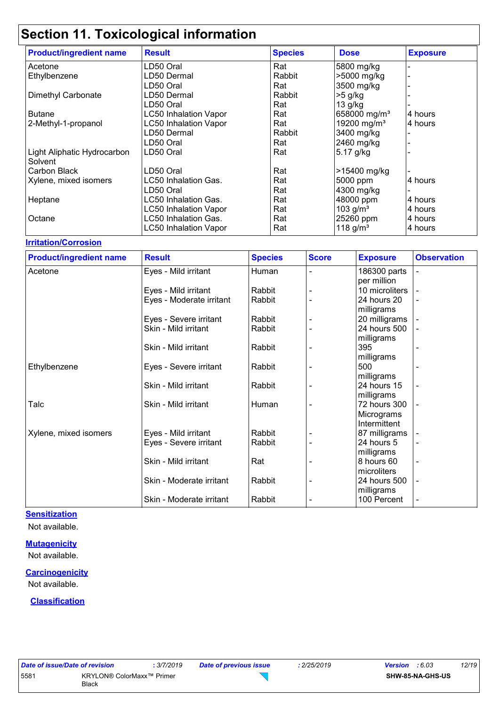# **Section 11. Toxicological information**

|                                        | -30                          |                |                          |                 |
|----------------------------------------|------------------------------|----------------|--------------------------|-----------------|
| <b>Product/ingredient name</b>         | <b>Result</b>                | <b>Species</b> | <b>Dose</b>              | <b>Exposure</b> |
| Acetone                                | LD50 Oral                    | Rat            | 5800 mg/kg               |                 |
| Ethylbenzene                           | LD50 Dermal                  | Rabbit         | >5000 mg/kg              |                 |
|                                        | LD50 Oral                    | Rat            | 3500 mg/kg               |                 |
| Dimethyl Carbonate                     | LD50 Dermal                  | Rabbit         | $>5$ g/kg                |                 |
|                                        | LD50 Oral                    | Rat            | 13 g/kg                  |                 |
| <b>Butane</b>                          | <b>LC50 Inhalation Vapor</b> | Rat            | 658000 mg/m <sup>3</sup> | 4 hours         |
| 2-Methyl-1-propanol                    | <b>LC50 Inhalation Vapor</b> | Rat            | 19200 mg/m <sup>3</sup>  | 4 hours         |
|                                        | LD50 Dermal                  | Rabbit         | 3400 mg/kg               |                 |
|                                        | LD50 Oral                    | Rat            | 2460 mg/kg               |                 |
| Light Aliphatic Hydrocarbon<br>Solvent | LD50 Oral                    | Rat            | 5.17 g/kg                |                 |
| Carbon Black                           | LD50 Oral                    | Rat            | >15400 mg/kg             |                 |
| Xylene, mixed isomers                  | LC50 Inhalation Gas.         | Rat            | 5000 ppm                 | 4 hours         |
|                                        | LD50 Oral                    | Rat            | 4300 mg/kg               |                 |
| Heptane                                | LC50 Inhalation Gas.         | Rat            | 48000 ppm                | 4 hours         |
|                                        | <b>LC50 Inhalation Vapor</b> | Rat            | 103 $g/m^3$              | 4 hours         |
| Octane                                 | LC50 Inhalation Gas.         | Rat            | 25260 ppm                | 4 hours         |
|                                        | <b>LC50 Inhalation Vapor</b> | Rat            | 118 $g/m^3$              | 4 hours         |

#### **Irritation/Corrosion**

| <b>Product/ingredient name</b> | <b>Result</b>            | <b>Species</b> | <b>Score</b> | <b>Exposure</b> | <b>Observation</b>           |
|--------------------------------|--------------------------|----------------|--------------|-----------------|------------------------------|
| Acetone                        | Eyes - Mild irritant     | Human          |              | 186300 parts    | $\qquad \qquad \blacksquare$ |
|                                |                          |                |              | per million     |                              |
|                                | Eyes - Mild irritant     | Rabbit         |              | 10 microliters  |                              |
|                                | Eyes - Moderate irritant | Rabbit         |              | 24 hours 20     | $\blacksquare$               |
|                                |                          |                |              | milligrams      |                              |
|                                | Eyes - Severe irritant   | Rabbit         |              | 20 milligrams   |                              |
|                                | Skin - Mild irritant     | Rabbit         |              | 24 hours 500    |                              |
|                                |                          |                |              | milligrams      |                              |
|                                | Skin - Mild irritant     | Rabbit         |              | 395             | $\overline{\phantom{a}}$     |
|                                |                          |                |              | milligrams      |                              |
| Ethylbenzene                   | Eyes - Severe irritant   | Rabbit         |              | 500             |                              |
|                                |                          |                |              | milligrams      |                              |
|                                | Skin - Mild irritant     | Rabbit         |              | 24 hours 15     |                              |
|                                |                          |                |              | milligrams      |                              |
| Talc                           | Skin - Mild irritant     | Human          |              | 72 hours 300    |                              |
|                                |                          |                |              | Micrograms      |                              |
|                                |                          |                |              | Intermittent    |                              |
| Xylene, mixed isomers          | Eyes - Mild irritant     | Rabbit         |              | 87 milligrams   |                              |
|                                | Eyes - Severe irritant   | Rabbit         |              | 24 hours 5      |                              |
|                                |                          |                |              | milligrams      |                              |
|                                | Skin - Mild irritant     | Rat            |              | 8 hours 60      | $\blacksquare$               |
|                                |                          |                |              | microliters     |                              |
|                                | Skin - Moderate irritant | Rabbit         |              | 24 hours 500    |                              |
|                                |                          |                |              | milligrams      |                              |
|                                | Skin - Moderate irritant | Rabbit         |              | 100 Percent     | $\overline{\phantom{a}}$     |

#### **Sensitization**

Not available.

**Mutagenicity**

Not available.

#### **Carcinogenicity**

Not available.

#### **Classification**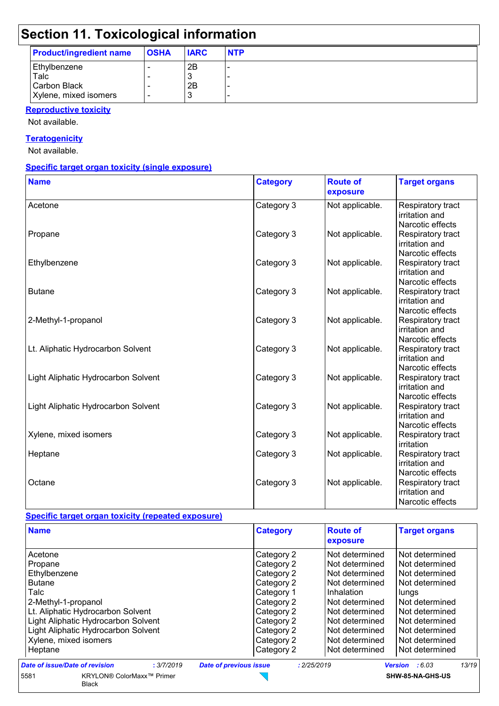# **Section 11. Toxicological information**

| <b>Product/ingredient name</b> | <b>OSHA</b> | <b>IARC</b> | <b>NTP</b> |
|--------------------------------|-------------|-------------|------------|
| Ethylbenzene                   | -           | 2B          | -          |
| Talc                           |             |             | -          |
| Carbon Black                   |             | 2B          | -          |
| Xylene, mixed isomers          |             |             | -          |

#### **Reproductive toxicity**

Not available.

#### **Teratogenicity**

Not available.

#### **Specific target organ toxicity (single exposure)**

| <b>Name</b>                         | <b>Category</b> | <b>Route of</b><br>exposure | <b>Target organs</b>                                    |
|-------------------------------------|-----------------|-----------------------------|---------------------------------------------------------|
| Acetone                             | Category 3      | Not applicable.             | Respiratory tract<br>irritation and<br>Narcotic effects |
| Propane                             | Category 3      | Not applicable.             | Respiratory tract<br>irritation and<br>Narcotic effects |
| Ethylbenzene                        | Category 3      | Not applicable.             | Respiratory tract<br>irritation and<br>Narcotic effects |
| <b>Butane</b>                       | Category 3      | Not applicable.             | Respiratory tract<br>irritation and<br>Narcotic effects |
| 2-Methyl-1-propanol                 | Category 3      | Not applicable.             | Respiratory tract<br>irritation and<br>Narcotic effects |
| Lt. Aliphatic Hydrocarbon Solvent   | Category 3      | Not applicable.             | Respiratory tract<br>irritation and<br>Narcotic effects |
| Light Aliphatic Hydrocarbon Solvent | Category 3      | Not applicable.             | Respiratory tract<br>irritation and<br>Narcotic effects |
| Light Aliphatic Hydrocarbon Solvent | Category 3      | Not applicable.             | Respiratory tract<br>irritation and<br>Narcotic effects |
| Xylene, mixed isomers               | Category 3      | Not applicable.             | Respiratory tract<br>irritation                         |
| Heptane                             | Category 3      | Not applicable.             | Respiratory tract<br>irritation and<br>Narcotic effects |
| Octane                              | Category 3      | Not applicable.             | Respiratory tract<br>irritation and<br>Narcotic effects |

#### **Specific target organ toxicity (repeated exposure)**

| <b>Name</b>                         | <b>Category</b> | <b>Route of</b><br>exposure | <b>Target organs</b> |
|-------------------------------------|-----------------|-----------------------------|----------------------|
| Acetone                             | Category 2      | Not determined              | Not determined       |
| Propane                             | Category 2      | Not determined              | Not determined       |
| Ethylbenzene                        | Category 2      | Not determined              | Not determined       |
| <b>Butane</b>                       | Category 2      | Not determined              | Not determined       |
| Talc                                | Category 1      | Inhalation                  | lungs                |
| 2-Methyl-1-propanol                 | Category 2      | Not determined              | Not determined       |
| Lt. Aliphatic Hydrocarbon Solvent   | Category 2      | Not determined              | Not determined       |
| Light Aliphatic Hydrocarbon Solvent | Category 2      | Not determined              | Not determined       |
| Light Aliphatic Hydrocarbon Solvent | Category 2      | Not determined              | Not determined       |
| Xylene, mixed isomers               | Category 2      | Not determined              | Not determined       |
| Heptane                             | Category 2      | Not determined              | Not determined       |

5581 KRYLON® ColorMaxx™ Primer  $\sum$ **SHW-85-NA-GHS-US**Black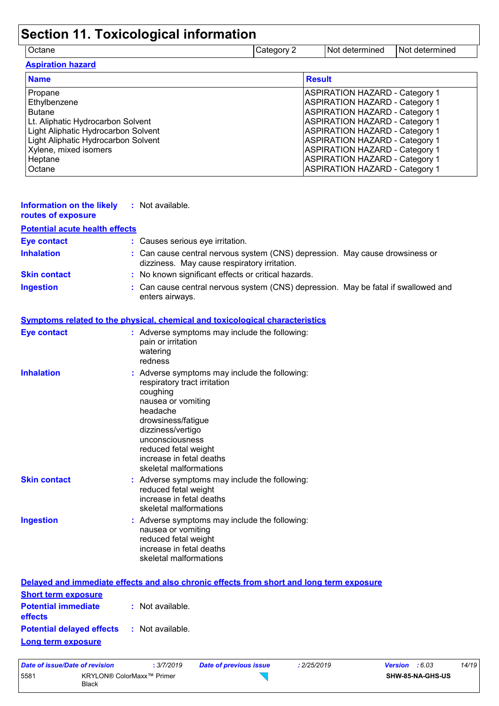# **Section 11. Toxicological information**

Octane Category 2 Not determined Not determined

| <b>Aspiration hazard</b>            |                                       |
|-------------------------------------|---------------------------------------|
| <b>Name</b>                         | <b>Result</b>                         |
| Propane                             | <b>ASPIRATION HAZARD - Category 1</b> |
| Ethylbenzene                        | <b>ASPIRATION HAZARD - Category 1</b> |
| <b>Butane</b>                       | <b>ASPIRATION HAZARD - Category 1</b> |
| Lt. Aliphatic Hydrocarbon Solvent   | <b>ASPIRATION HAZARD - Category 1</b> |
| Light Aliphatic Hydrocarbon Solvent | <b>ASPIRATION HAZARD - Category 1</b> |
| Light Aliphatic Hydrocarbon Solvent | <b>ASPIRATION HAZARD - Category 1</b> |
| Xylene, mixed isomers               | <b>ASPIRATION HAZARD - Category 1</b> |
| Heptane                             | <b>ASPIRATION HAZARD - Category 1</b> |
| Octane                              | <b>ASPIRATION HAZARD - Category 1</b> |

| <b>Information on the likely</b><br>routes of exposure | : Not available.                                                                                                                                                                                                                                                        |
|--------------------------------------------------------|-------------------------------------------------------------------------------------------------------------------------------------------------------------------------------------------------------------------------------------------------------------------------|
| <b>Potential acute health effects</b>                  |                                                                                                                                                                                                                                                                         |
| <b>Eye contact</b>                                     | : Causes serious eye irritation.                                                                                                                                                                                                                                        |
| <b>Inhalation</b>                                      | : Can cause central nervous system (CNS) depression. May cause drowsiness or<br>dizziness. May cause respiratory irritation.                                                                                                                                            |
| <b>Skin contact</b>                                    | : No known significant effects or critical hazards.                                                                                                                                                                                                                     |
| <b>Ingestion</b>                                       | : Can cause central nervous system (CNS) depression. May be fatal if swallowed and<br>enters airways.                                                                                                                                                                   |
|                                                        | Symptoms related to the physical, chemical and toxicological characteristics                                                                                                                                                                                            |
| <b>Eye contact</b>                                     | : Adverse symptoms may include the following:<br>pain or irritation<br>watering<br>redness                                                                                                                                                                              |
| <b>Inhalation</b>                                      | : Adverse symptoms may include the following:<br>respiratory tract irritation<br>coughing<br>nausea or vomiting<br>headache<br>drowsiness/fatigue<br>dizziness/vertigo<br>unconsciousness<br>reduced fetal weight<br>increase in fetal deaths<br>skeletal malformations |
| <b>Skin contact</b>                                    | : Adverse symptoms may include the following:<br>reduced fetal weight<br>increase in fetal deaths<br>skeletal malformations                                                                                                                                             |
| <b>Ingestion</b>                                       | : Adverse symptoms may include the following:<br>nausea or vomiting<br>reduced fetal weight<br>increase in fetal deaths<br>skeletal malformations                                                                                                                       |
|                                                        | Delayed and immediate effects and also chronic effects from short and long term exposure                                                                                                                                                                                |
| <b>Short term exposure</b>                             |                                                                                                                                                                                                                                                                         |

|                                                   | <u>Delayed and immediate effects and also chronic effects from short and long term exp</u> |
|---------------------------------------------------|--------------------------------------------------------------------------------------------|
| <b>Short term exposure</b>                        |                                                                                            |
| <b>Potential immediate</b><br><b>effects</b>      | : Not available.                                                                           |
| <b>Potential delayed effects : Not available.</b> |                                                                                            |
| Long term exposure                                |                                                                                            |

| Date of issue/Date of revision |                                    | : 3/7/2019 | <b>Date of previous issue</b> | 2/25/2019 | <b>Version</b> : 6.03 |                  | 14/19 |
|--------------------------------|------------------------------------|------------|-------------------------------|-----------|-----------------------|------------------|-------|
| 5581                           | KRYLON® ColorMaxx™ Primer<br>Black |            |                               |           |                       | SHW-85-NA-GHS-US |       |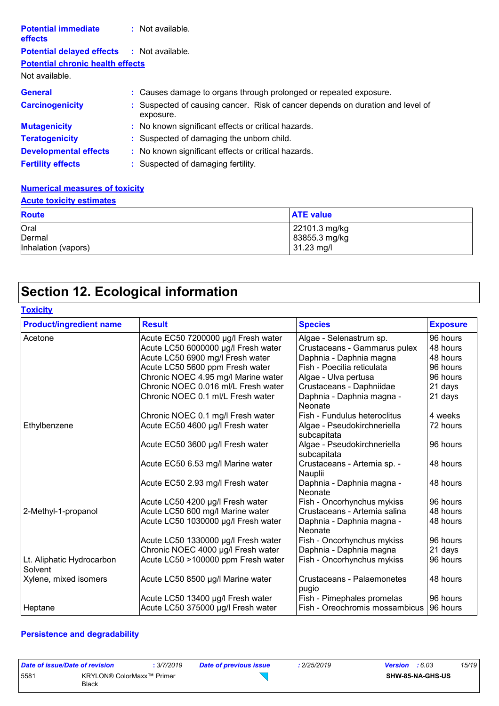| <b>Potential immediate</b><br><b>effects</b>      | : Not available.                                                                            |
|---------------------------------------------------|---------------------------------------------------------------------------------------------|
| <b>Potential delayed effects : Not available.</b> |                                                                                             |
| <b>Potential chronic health effects</b>           |                                                                                             |
| Not available.                                    |                                                                                             |
| <b>General</b>                                    | : Causes damage to organs through prolonged or repeated exposure.                           |
| <b>Carcinogenicity</b>                            | : Suspected of causing cancer. Risk of cancer depends on duration and level of<br>exposure. |
| <b>Mutagenicity</b>                               | : No known significant effects or critical hazards.                                         |
| <b>Teratogenicity</b>                             | : Suspected of damaging the unborn child.                                                   |
| <b>Developmental effects</b>                      | : No known significant effects or critical hazards.                                         |
| <b>Fertility effects</b>                          | : Suspected of damaging fertility.                                                          |

#### **Numerical measures of toxicity**

### **Acute toxicity estimates**

| <b>Route</b>        | <b>ATE value</b> |
|---------------------|------------------|
| Oral                | 22101.3 mg/kg    |
| Dermal              | 83855.3 mg/kg    |
| Inhalation (vapors) | 31.23 mg/l       |

# **Section 12. Ecological information**

| <b>Toxicity</b>                      |                                     |                                            |                 |
|--------------------------------------|-------------------------------------|--------------------------------------------|-----------------|
| <b>Product/ingredient name</b>       | <b>Result</b>                       | <b>Species</b>                             | <b>Exposure</b> |
| Acetone                              | Acute EC50 7200000 µg/l Fresh water | Algae - Selenastrum sp.                    | 96 hours        |
|                                      | Acute LC50 6000000 µg/l Fresh water | Crustaceans - Gammarus pulex               | 48 hours        |
|                                      | Acute LC50 6900 mg/l Fresh water    | Daphnia - Daphnia magna                    | 48 hours        |
|                                      | Acute LC50 5600 ppm Fresh water     | Fish - Poecilia reticulata                 | 96 hours        |
|                                      | Chronic NOEC 4.95 mg/l Marine water | Algae - Ulva pertusa                       | 96 hours        |
|                                      | Chronic NOEC 0.016 ml/L Fresh water | Crustaceans - Daphniidae                   | 21 days         |
|                                      | Chronic NOEC 0.1 ml/L Fresh water   | Daphnia - Daphnia magna -<br>Neonate       | 21 days         |
|                                      | Chronic NOEC 0.1 mg/l Fresh water   | Fish - Fundulus heteroclitus               | 4 weeks         |
| Ethylbenzene                         | Acute EC50 4600 µg/l Fresh water    | Algae - Pseudokirchneriella<br>subcapitata | 72 hours        |
|                                      | Acute EC50 3600 µg/l Fresh water    | Algae - Pseudokirchneriella<br>subcapitata | 96 hours        |
|                                      | Acute EC50 6.53 mg/l Marine water   | Crustaceans - Artemia sp. -<br>Nauplii     | 48 hours        |
|                                      | Acute EC50 2.93 mg/l Fresh water    | Daphnia - Daphnia magna -<br>Neonate       | 48 hours        |
|                                      | Acute LC50 4200 µg/l Fresh water    | Fish - Oncorhynchus mykiss                 | 96 hours        |
| 2-Methyl-1-propanol                  | Acute LC50 600 mg/l Marine water    | Crustaceans - Artemia salina               | 48 hours        |
|                                      | Acute LC50 1030000 µg/l Fresh water | Daphnia - Daphnia magna -<br>Neonate       | 48 hours        |
|                                      | Acute LC50 1330000 µg/l Fresh water | Fish - Oncorhynchus mykiss                 | 96 hours        |
|                                      | Chronic NOEC 4000 µg/l Fresh water  | Daphnia - Daphnia magna                    | 21 days         |
| Lt. Aliphatic Hydrocarbon<br>Solvent | Acute LC50 >100000 ppm Fresh water  | Fish - Oncorhynchus mykiss                 | 96 hours        |
| Xylene, mixed isomers                | Acute LC50 8500 µg/l Marine water   | Crustaceans - Palaemonetes<br>pugio        | 48 hours        |
|                                      | Acute LC50 13400 µg/l Fresh water   | Fish - Pimephales promelas                 | 96 hours        |
| Heptane                              | Acute LC50 375000 µg/l Fresh water  | Fish - Oreochromis mossambicus             | 96 hours        |

#### **Persistence and degradability**

| Date of issue/Date of revision |                                    | : 3/7/2019 | Date of previous issue | 2/25/2019 | <b>Version</b> : 6.03 |                  | 15/19 |
|--------------------------------|------------------------------------|------------|------------------------|-----------|-----------------------|------------------|-------|
| 5581                           | KRYLON® ColorMaxx™ Primer<br>Black |            |                        |           |                       | SHW-85-NA-GHS-US |       |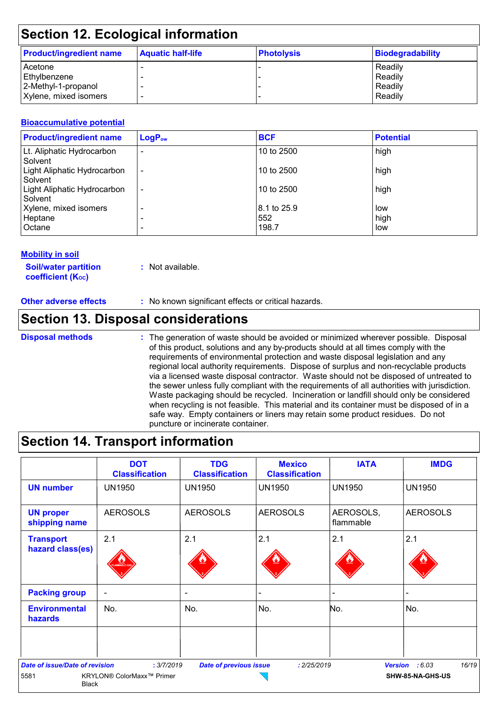## **Section 12. Ecological information**

| <b>Product/ingredient name</b> | <b>Aquatic half-life</b> | <b>Photolysis</b> | Biodegradability |
|--------------------------------|--------------------------|-------------------|------------------|
| Acetone                        |                          |                   | Readily          |
| <b>Ethylbenzene</b>            |                          |                   | Readily          |
| 2-Methyl-1-propanol            |                          |                   | Readily          |
| Xylene, mixed isomers          |                          |                   | Readily          |

#### **Bioaccumulative potential**

| <b>Product/ingredient name</b>         | <b>LogPow</b>            | <b>BCF</b>  | <b>Potential</b> |
|----------------------------------------|--------------------------|-------------|------------------|
| Lt. Aliphatic Hydrocarbon<br>Solvent   | $\overline{\phantom{0}}$ | 10 to 2500  | high             |
| Light Aliphatic Hydrocarbon<br>Solvent | $\overline{\phantom{a}}$ | 10 to 2500  | high             |
| Light Aliphatic Hydrocarbon<br>Solvent | $\overline{\phantom{a}}$ | 10 to 2500  | high             |
| Xylene, mixed isomers                  | ۰                        | 8.1 to 25.9 | low              |
| Heptane                                |                          | 552         | high             |
| Octane                                 | ۰                        | 198.7       | low              |

#### **Mobility in soil**

**Soil/water partition coefficient (KOC)**

**:** Not available.

**Other adverse effects** : No known significant effects or critical hazards.

### **Section 13. Disposal considerations**

#### **Disposal methods :**

The generation of waste should be avoided or minimized wherever possible. Disposal of this product, solutions and any by-products should at all times comply with the requirements of environmental protection and waste disposal legislation and any regional local authority requirements. Dispose of surplus and non-recyclable products via a licensed waste disposal contractor. Waste should not be disposed of untreated to the sewer unless fully compliant with the requirements of all authorities with jurisdiction. Waste packaging should be recycled. Incineration or landfill should only be considered when recycling is not feasible. This material and its container must be disposed of in a safe way. Empty containers or liners may retain some product residues. Do not puncture or incinerate container.

### **Section 14. Transport information**

|                                       | <b>DOT</b><br><b>Classification</b> | <b>TDG</b><br><b>Classification</b> | <b>Mexico</b><br><b>Classification</b> | <b>IATA</b>              | <b>IMDG</b>      |
|---------------------------------------|-------------------------------------|-------------------------------------|----------------------------------------|--------------------------|------------------|
| <b>UN number</b>                      | <b>UN1950</b>                       | <b>UN1950</b>                       | <b>UN1950</b>                          | <b>UN1950</b>            | <b>UN1950</b>    |
| <b>UN proper</b><br>shipping name     | <b>AEROSOLS</b>                     | <b>AEROSOLS</b>                     | <b>AEROSOLS</b>                        | AEROSOLS,<br>flammable   | <b>AEROSOLS</b>  |
| <b>Transport</b>                      | 2.1                                 | 2.1                                 | 2.1                                    | 2.1                      | 2.1              |
| hazard class(es)                      | <b>MMARLE</b>                       |                                     |                                        |                          |                  |
| <b>Packing group</b>                  | $\blacksquare$                      | $\overline{\phantom{a}}$            |                                        | $\overline{\phantom{0}}$ |                  |
| <b>Environmental</b><br>hazards       | No.                                 | No.                                 | No.                                    | No.                      | No.              |
|                                       |                                     |                                     |                                        |                          |                  |
| <b>Date of issue/Date of revision</b> | : 3/7/2019                          | <b>Date of previous issue</b>       | : 2/25/2019                            | <b>Version</b>           | 16/19<br>:6.03   |
| 5581<br><b>Black</b>                  | KRYLON® ColorMaxx™ Primer           |                                     |                                        |                          | SHW-85-NA-GHS-US |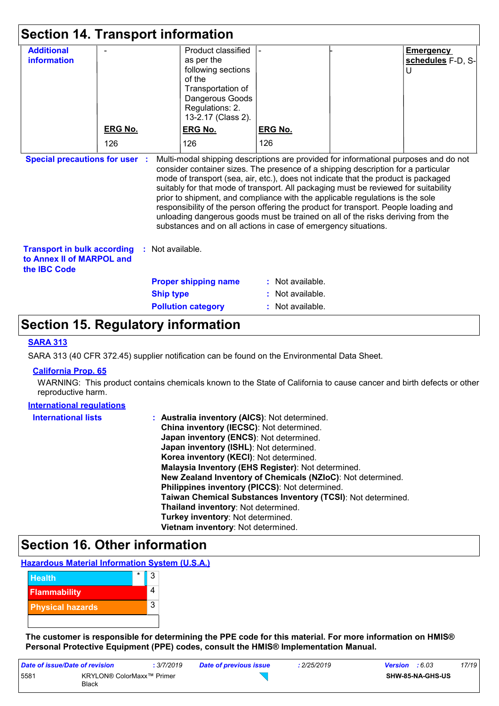| <b>Section 14. Transport information</b>                                                                                                                                                                                                                                                                                                                                                                                                                                                                                                                                                                                                                                                                                     |                |                  |                                                                                                                                                   |                  |  |                                            |
|------------------------------------------------------------------------------------------------------------------------------------------------------------------------------------------------------------------------------------------------------------------------------------------------------------------------------------------------------------------------------------------------------------------------------------------------------------------------------------------------------------------------------------------------------------------------------------------------------------------------------------------------------------------------------------------------------------------------------|----------------|------------------|---------------------------------------------------------------------------------------------------------------------------------------------------|------------------|--|--------------------------------------------|
| <b>Additional</b><br><b>information</b>                                                                                                                                                                                                                                                                                                                                                                                                                                                                                                                                                                                                                                                                                      |                |                  | Product classified<br>as per the<br>following sections<br>of the<br>Transportation of<br>Dangerous Goods<br>Regulations: 2.<br>13-2.17 (Class 2). |                  |  | <b>Emergency</b><br>schedules F-D, S-<br>U |
|                                                                                                                                                                                                                                                                                                                                                                                                                                                                                                                                                                                                                                                                                                                              | <b>ERG No.</b> |                  | <b>ERG No.</b>                                                                                                                                    | <b>ERG No.</b>   |  |                                            |
|                                                                                                                                                                                                                                                                                                                                                                                                                                                                                                                                                                                                                                                                                                                              | 126            |                  | 126                                                                                                                                               | 126              |  |                                            |
| <b>Special precautions for user :</b><br>Multi-modal shipping descriptions are provided for informational purposes and do not<br>consider container sizes. The presence of a shipping description for a particular<br>mode of transport (sea, air, etc.), does not indicate that the product is packaged<br>suitably for that mode of transport. All packaging must be reviewed for suitability<br>prior to shipment, and compliance with the applicable regulations is the sole<br>responsibility of the person offering the product for transport. People loading and<br>unloading dangerous goods must be trained on all of the risks deriving from the<br>substances and on all actions in case of emergency situations. |                |                  |                                                                                                                                                   |                  |  |                                            |
| <b>Transport in bulk according</b><br>: Not available.<br>to Annex II of MARPOL and<br>the <b>IBC</b> Code                                                                                                                                                                                                                                                                                                                                                                                                                                                                                                                                                                                                                   |                |                  |                                                                                                                                                   |                  |  |                                            |
|                                                                                                                                                                                                                                                                                                                                                                                                                                                                                                                                                                                                                                                                                                                              |                |                  | <b>Proper shipping name</b>                                                                                                                       | : Not available. |  |                                            |
|                                                                                                                                                                                                                                                                                                                                                                                                                                                                                                                                                                                                                                                                                                                              |                | <b>Ship type</b> |                                                                                                                                                   | Not available.   |  |                                            |
|                                                                                                                                                                                                                                                                                                                                                                                                                                                                                                                                                                                                                                                                                                                              |                |                  | <b>Pollution category</b>                                                                                                                         | : Not available. |  |                                            |

### **Section 15. Regulatory information**

#### **SARA 313**

SARA 313 (40 CFR 372.45) supplier notification can be found on the Environmental Data Sheet.

#### **California Prop. 65**

WARNING: This product contains chemicals known to the State of California to cause cancer and birth defects or other reproductive harm.

#### **International regulations**

| <b>International lists</b> | : Australia inventory (AICS): Not determined.                |
|----------------------------|--------------------------------------------------------------|
|                            | China inventory (IECSC): Not determined.                     |
|                            | Japan inventory (ENCS): Not determined.                      |
|                            | Japan inventory (ISHL): Not determined.                      |
|                            | Korea inventory (KECI): Not determined.                      |
|                            | Malaysia Inventory (EHS Register): Not determined.           |
|                            | New Zealand Inventory of Chemicals (NZIoC): Not determined.  |
|                            | Philippines inventory (PICCS): Not determined.               |
|                            | Taiwan Chemical Substances Inventory (TCSI): Not determined. |
|                            | Thailand inventory: Not determined.                          |
|                            | Turkey inventory: Not determined.                            |
|                            | Vietnam inventory: Not determined.                           |

# **Section 16. Other information**

**Hazardous Material Information System (U.S.A.)**



**The customer is responsible for determining the PPE code for this material. For more information on HMIS® Personal Protective Equipment (PPE) codes, consult the HMIS® Implementation Manual.**

| Date of issue/Date of revision |                                           | : 3/7/2019 | Date of previous issue | 2/25/2019 | <b>Version</b> : 6.03 |                  | 17/19 |
|--------------------------------|-------------------------------------------|------------|------------------------|-----------|-----------------------|------------------|-------|
| 5581                           | KRYLON® ColorMaxx™ Primer<br><b>Black</b> |            |                        |           |                       | SHW-85-NA-GHS-US |       |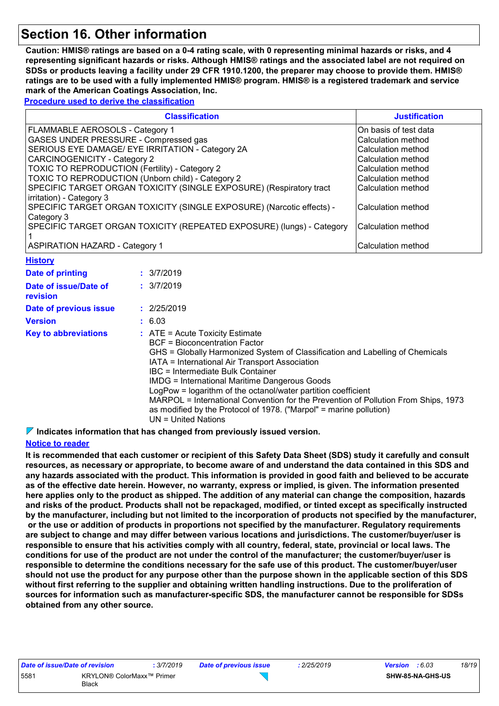# **Section 16. Other information**

**Caution: HMIS® ratings are based on a 0-4 rating scale, with 0 representing minimal hazards or risks, and 4 representing significant hazards or risks. Although HMIS® ratings and the associated label are not required on SDSs or products leaving a facility under 29 CFR 1910.1200, the preparer may choose to provide them. HMIS® ratings are to be used with a fully implemented HMIS® program. HMIS® is a registered trademark and service mark of the American Coatings Association, Inc.**

**Procedure used to derive the classification**

| <b>Classification</b>                                                                           | <b>Justification</b>  |
|-------------------------------------------------------------------------------------------------|-----------------------|
| FLAMMABLE AEROSOLS - Category 1                                                                 | On basis of test data |
| <b>GASES UNDER PRESSURE - Compressed gas</b>                                                    | lCalculation method   |
| SERIOUS EYE DAMAGE/ EYE IRRITATION - Category 2A                                                | Calculation method    |
| <b>CARCINOGENICITY - Category 2</b>                                                             | Calculation method    |
| <b>TOXIC TO REPRODUCTION (Fertility) - Category 2</b>                                           | lCalculation method   |
| TOXIC TO REPRODUCTION (Unborn child) - Category 2                                               | Calculation method    |
| SPECIFIC TARGET ORGAN TOXICITY (SINGLE EXPOSURE) (Respiratory tract<br>irritation) - Category 3 | ICalculation method   |
| SPECIFIC TARGET ORGAN TOXICITY (SINGLE EXPOSURE) (Narcotic effects) -<br>Category 3             | Calculation method    |
| SPECIFIC TARGET ORGAN TOXICITY (REPEATED EXPOSURE) (lungs) - Category                           | Calculation method    |
| <b>ASPIRATION HAZARD - Category 1</b>                                                           | Calculation method    |

| <b>History</b>                    |                                                                                                                                                                                                                                                                                                                                                                                                                                                                                                                                                                          |
|-----------------------------------|--------------------------------------------------------------------------------------------------------------------------------------------------------------------------------------------------------------------------------------------------------------------------------------------------------------------------------------------------------------------------------------------------------------------------------------------------------------------------------------------------------------------------------------------------------------------------|
| Date of printing                  | : 3/7/2019                                                                                                                                                                                                                                                                                                                                                                                                                                                                                                                                                               |
| Date of issue/Date of<br>revision | : 3/7/2019                                                                                                                                                                                                                                                                                                                                                                                                                                                                                                                                                               |
| Date of previous issue            | : 2/25/2019                                                                                                                                                                                                                                                                                                                                                                                                                                                                                                                                                              |
| <b>Version</b>                    | : 6.03                                                                                                                                                                                                                                                                                                                                                                                                                                                                                                                                                                   |
| <b>Key to abbreviations</b>       | $\therefore$ ATE = Acute Toxicity Estimate<br><b>BCF</b> = Bioconcentration Factor<br>GHS = Globally Harmonized System of Classification and Labelling of Chemicals<br>IATA = International Air Transport Association<br>IBC = Intermediate Bulk Container<br><b>IMDG</b> = International Maritime Dangerous Goods<br>LogPow = logarithm of the octanol/water partition coefficient<br>MARPOL = International Convention for the Prevention of Pollution From Ships, 1973<br>as modified by the Protocol of 1978. ("Marpol" = marine pollution)<br>$UN = United Nations$ |

**Indicates information that has changed from previously issued version.**

#### **Notice to reader**

**It is recommended that each customer or recipient of this Safety Data Sheet (SDS) study it carefully and consult resources, as necessary or appropriate, to become aware of and understand the data contained in this SDS and any hazards associated with the product. This information is provided in good faith and believed to be accurate as of the effective date herein. However, no warranty, express or implied, is given. The information presented here applies only to the product as shipped. The addition of any material can change the composition, hazards and risks of the product. Products shall not be repackaged, modified, or tinted except as specifically instructed by the manufacturer, including but not limited to the incorporation of products not specified by the manufacturer, or the use or addition of products in proportions not specified by the manufacturer. Regulatory requirements are subject to change and may differ between various locations and jurisdictions. The customer/buyer/user is responsible to ensure that his activities comply with all country, federal, state, provincial or local laws. The conditions for use of the product are not under the control of the manufacturer; the customer/buyer/user is responsible to determine the conditions necessary for the safe use of this product. The customer/buyer/user should not use the product for any purpose other than the purpose shown in the applicable section of this SDS without first referring to the supplier and obtaining written handling instructions. Due to the proliferation of sources for information such as manufacturer-specific SDS, the manufacturer cannot be responsible for SDSs obtained from any other source.**